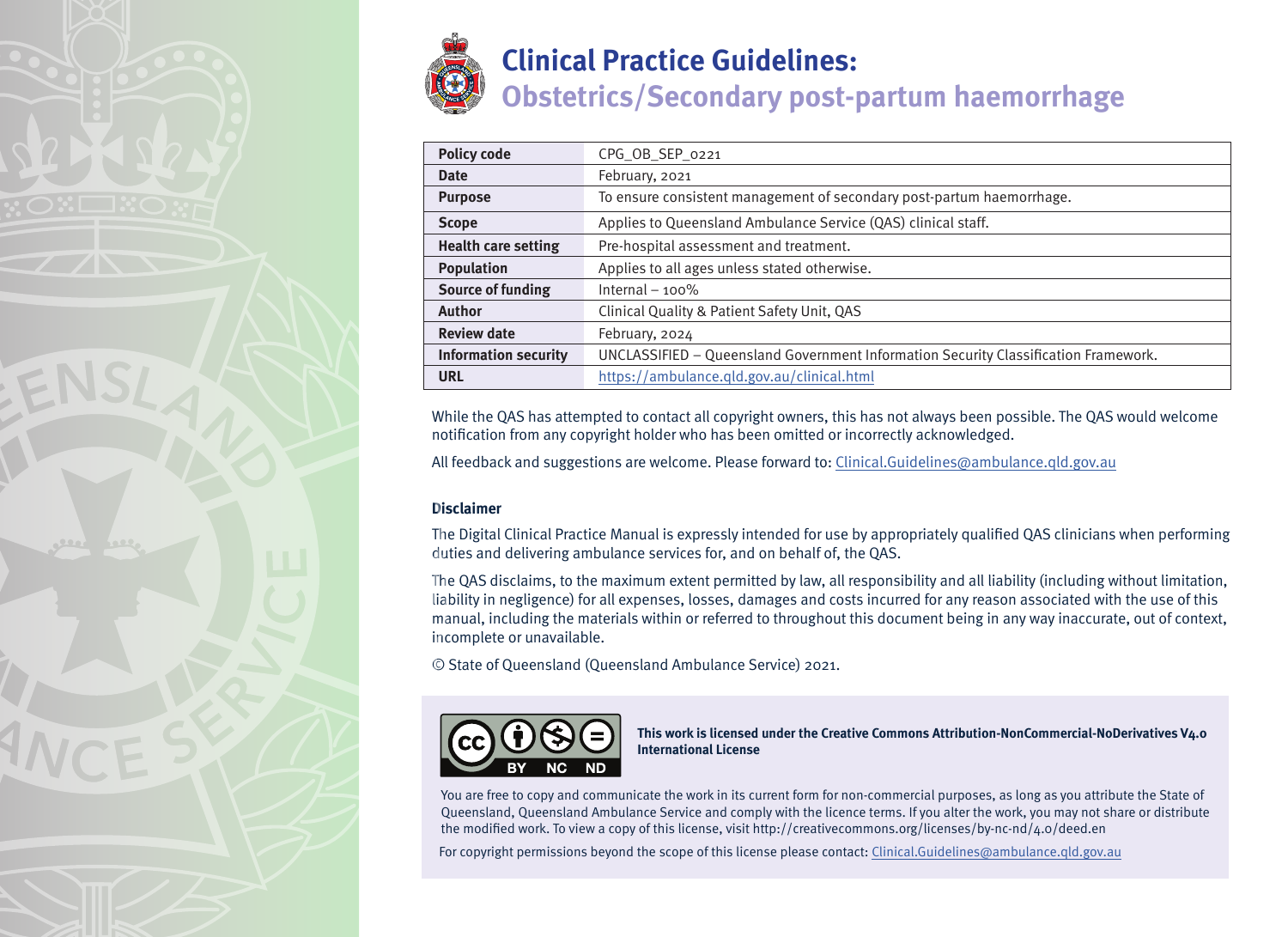

# Policy code CPG\_OB\_SEP\_0221 **Date** February, 2021 **Purpose** To ensure consistent management of secondary post-partum haemorrhage. **Scope** Applies to Queensland Ambulance Service (QAS) clinical staff. **Health care setting** Pre-hospital assessment and treatment. **Population Applies to all ages unless stated otherwise. Source of funding** Internal – 100% **Author** Clinical Quality & Patient Safety Unit, QAS **Review date** February, 2024 **Information security** UNCLASSIFIED – Queensland Government Information Security Classification Framework. **URL** <https://ambulance.qld.gov.au/clinical.html>

While the QAS has attempted to contact all copyright owners, this has not always been possible. The QAS would welcome notification from any copyright holder who has been omitted or incorrectly acknowledged.

All feedback and suggestions are welcome. Please forward to: Clinical.Guidelines@ambulance.qld.gov.au

## **Disclaimer**

The Digital Clinical Practice Manual is expressly intended for use by appropriately qualified QAS clinicians when performing duties and delivering ambulance services for, and on behalf of, the QAS.

The QAS disclaims, to the maximum extent permitted by law, all responsibility and all liability (including without limitation, liability in negligence) for all expenses, losses, damages and costs incurred for any reason associated with the use of this manual, including the materials within or referred to throughout this document being in any way inaccurate, out of context, incomplete or unavailable.

© State of Queensland (Queensland Ambulance Service) 2021.



**This work is licensed under the Creative Commons Attribution-NonCommercial-NoDerivatives V4.0 International License**

You are free to copy and communicate the work in its current form for non-commercial purposes, as long as you attribute the State of Queensland, Queensland Ambulance Service and comply with the licence terms. If you alter the work, you may not share or distribute the modified work. To view a copy of this license, visit http://creativecommons.org/licenses/by-nc-nd/4.0/deed.en

For copyright permissions beyond the scope of this license please contact: Clinical.Guidelines@ambulance.qld.gov.au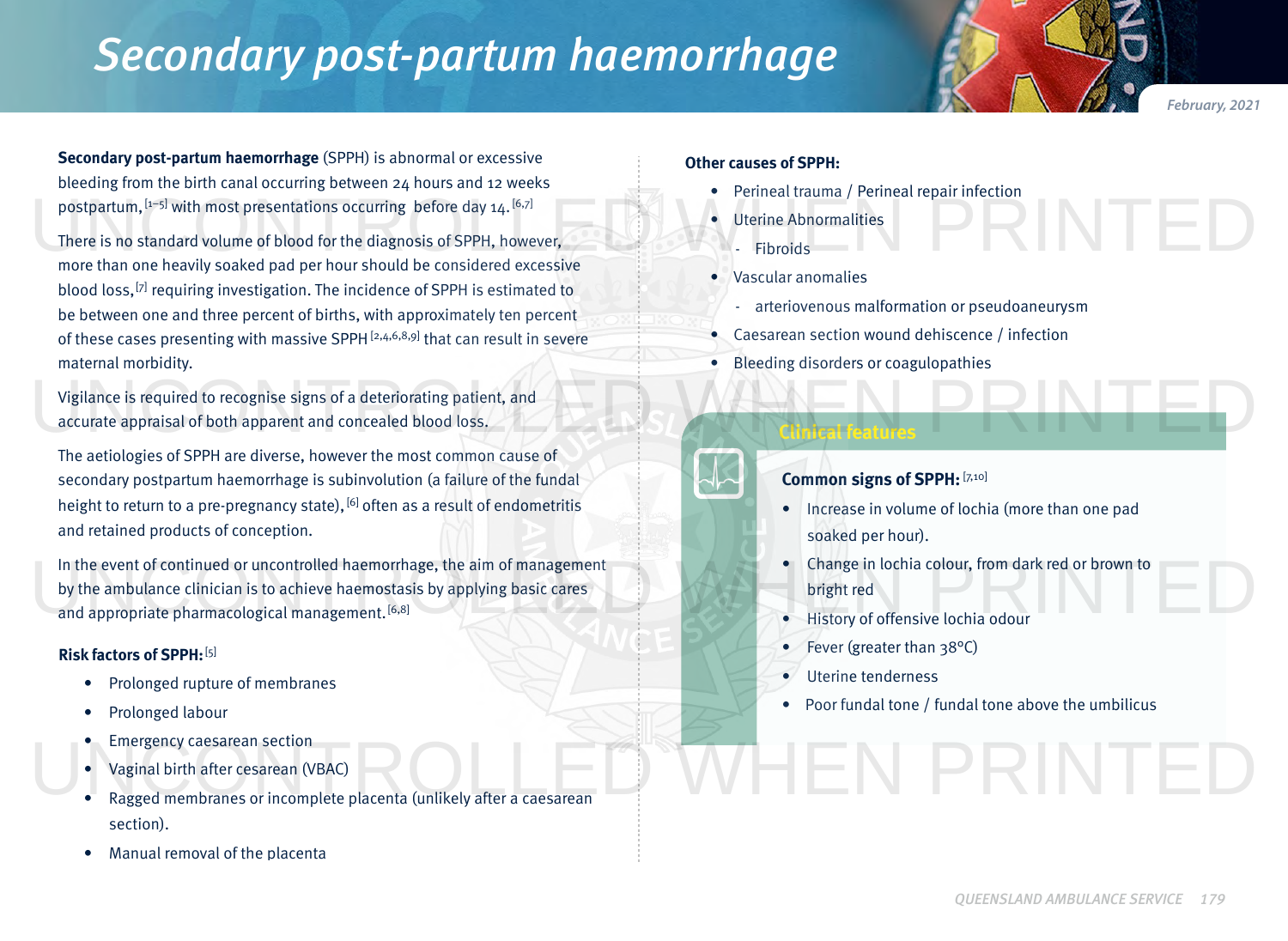# *Secondary post-partum haemorrhage*

**Secondary post-partum haemorrhage** (SPPH) is abnormal or excessive bleeding from the birth canal occurring between 24 hours and 12 weeks postpartum, [1−5] with most presentations occurring before day 14. [6,7]

There is no standard volume of blood for the diagnosis of SPPH, however, more than one heavily soaked pad per hour should be considered excessive blood loss, <a>[7]</a> requiring investigation. The incidence of SPPH is estimated to be between one and three percent of births, with approximately ten percent of these cases presenting with massive SPPH<sup>[2,4,6,8,9]</sup> that can result in severe maternal morbidity. postpartum, <sup>[1-5]</sup> with most presentations occurring before day 14.<sup>[6,7]</sup><br>There is no standard volume of blood for the diagnosis of SPPH, however,<br>more than one heavily soaked pad per hour should be considered excessive<br>

Vigilance is required to recognise signs of a deteriorating patient, and accurate appraisal of both apparent and concealed blood loss. Vigilance is required to recognise signs of a deteriorating patient, and<br>accurate appraisal of both apparent and concealed blood loss.

The aetiologies of SPPH are diverse, however the most common cause of secondary postpartum haemorrhage is subinvolution (a failure of the fundal height to return to a pre-pregnancy state),  $[6]$  often as a result of endometritis and retained products of conception.

In the event of continued or uncontrolled haemorrhage, the aim of management by the ambulance clinician is to achieve haemostasis by applying basic cares and appropriate pharmacological management.<sup>[6,8]</sup> In the event of continued or uncontrolled haemorrhage, the aim of management<br>by the ambulance clinician is to achieve haemostasis by applying basic cares<br>and appropriate pharmacological management.<sup>[6,8]</sup><br>Bistory of offens

## **Risk factors of SPPH:**[5]

- Prolonged rupture of membranes
- Prolonged labour
- Emergency caesarean section
- Vaginal birth after cesarean (VBAC)
- Ragged membranes or incomplete placenta (unlikely after a caesarean section).
- Manual removal of the placenta

#### **Other causes of SPPH:**

- Perineal trauma / Perineal repair infection
- Uterine Abnormalities
	- **Fibroids**
- Vascular anomalies
	- arteriovenous malformation or pseudoaneurysm
- Caesarean section wound dehiscence / infection
- Bleeding disorders or coagulopathies

**Clinical features**

# **Common signs of SPPH: [7,10]**

- Increase in volume of lochia (more than one pad soaked per hour).
- Change in lochia colour, from dark red or brown to bright red
- History of offensive lochia odour
- Fever (greater than 38°C)
- Uterine tenderness
- Poor fundal tone / fundal tone above the umbilicus

N PRINTEI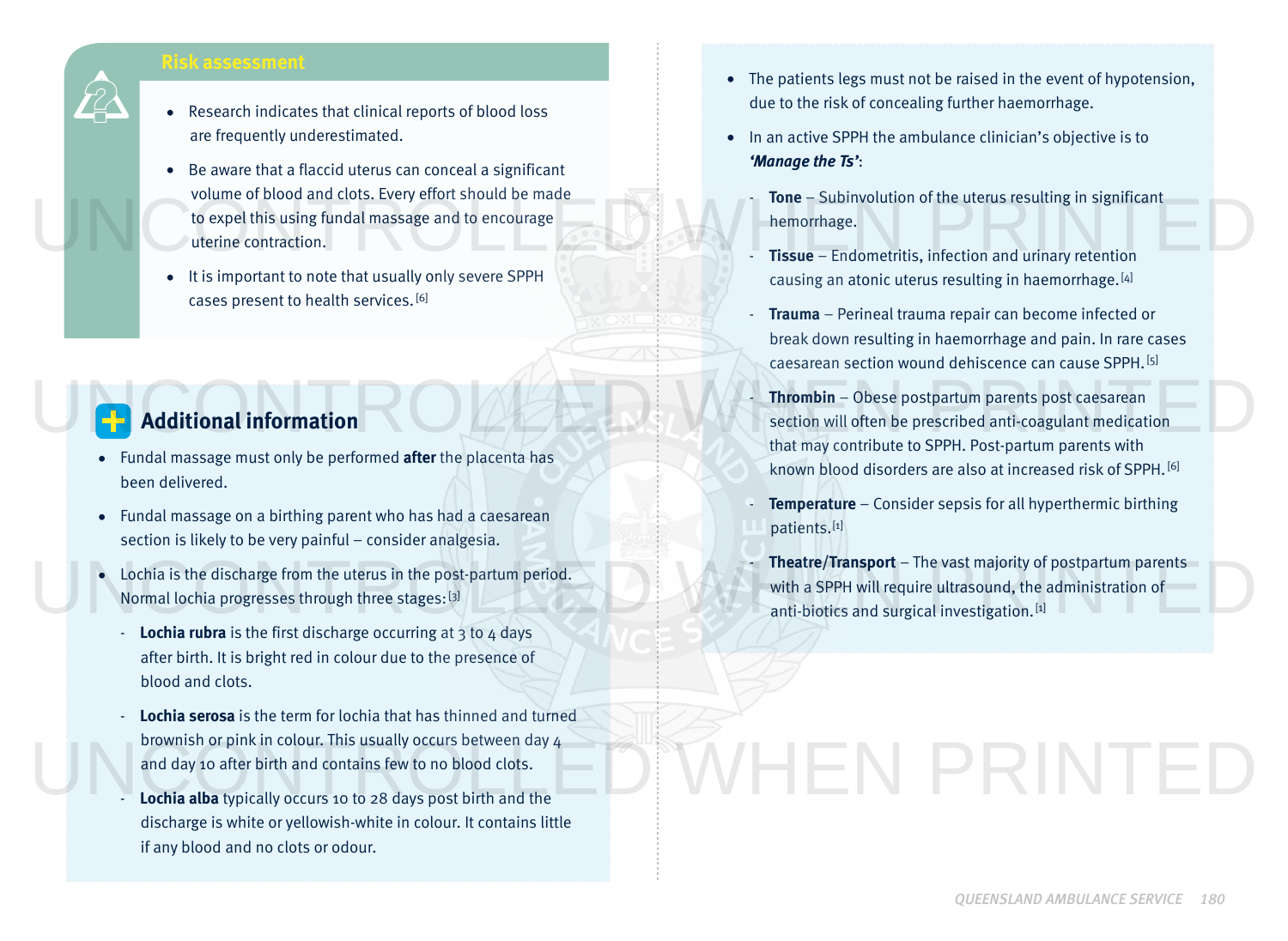# **Risk assessment**

- Research indicates that clinical reports of blood loss are frequently underestimated.
- Be aware that a flaccid uterus can conceal a significant volume of blood and clots. Every effort should be made to expel this using fundal massage and to encourage uterine contraction. UNITED STATES OF DROOF and Clots. EVery enort should be made<br>to expel this using fundal massage and to encourage<br>the morrhage.<br>**Tissue** – Endometritis, infection and urinary retention
	- It is important to note that usually only severe SPPH cases present to health services. [6]

# **Additional information**

- Fundal massage must only be performed **after** the placenta has been delivered.
- Fundal massage on a birthing parent who has had a caesarean section is likely to be very painful – consider analgesia.
- Lochia is the discharge from the uterus in the post-partum period. Normal lochia progresses through three stages:[3]
	- **Lochia rubra** is the first discharge occurring at 3 to 4 days after birth. It is bright red in colour due to the presence of blood and clots.
	- **Lochia serosa** is the term for lochia that has thinned and turned brownish or pink in colour. This usually occurs between day 4 and day 10 after birth and contains few to no blood clots.
	- Lochia alba typically occurs 10 to 28 days post birth and the discharge is white or yellowish-white in colour. It contains little if any blood and no clots or odour.
- The patients legs must not be raised in the event of hypotension, due to the risk of concealing further haemorrhage.
- In an active SPPH the ambulance clinician's objective is to *'Manage the Ts'*:
	- **Tone** Subinvolution of the uterus resulting in significant hemorrhage.
	- **Tissue** Endometritis, infection and urinary retention causing an atonic uterus resulting in haemorrhage. [4]
	- **Trauma** Perineal trauma repair can become infected or break down resulting in haemorrhage and pain. In rare cases caesarean section wound dehiscence can cause SPPH. [5]
- **Thrombin** Obese postpartum parents post caesarean section will often be prescribed anti-coagulant medication that may contribute to SPPH. Post-partum parents with known blood disorders are also at increased risk of SPPH. [6] Thrombin – Obese postpartum parents post caesarean<br>
Section will often be prescribed anti-coagulant medication<br>
that may contribute to SPPH. Post-partum parents with
	- **Temperature** Consider sepsis for all hyperthermic birthing patients.[1]
- **Theatre/Transport** The vast majority of postpartum parents with a SPPH will require ultrasound, the administration of anti-biotics and surgical investigation. [1] • Lochia is the discharge from the uterus in the post-partum period.<br>Normal lochia progresses through three stages: [3]<br>Lochia with a SPPH will require ultrasound, the administration of<br>Lochia with a SPPH will require ultr

# VHEN PRINTEI